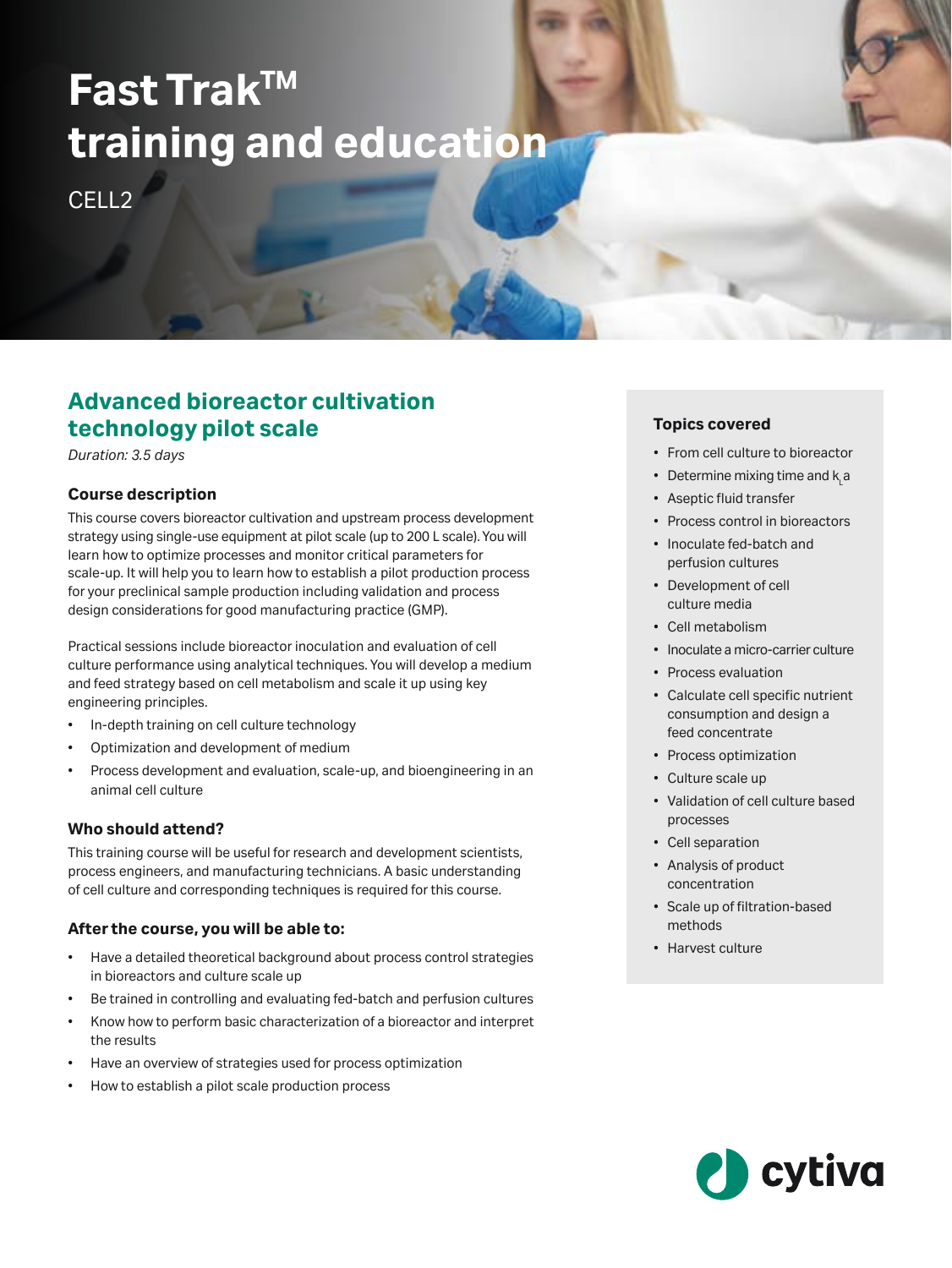# **Fast TrakTM training and education**

CELL<sub>2</sub>

# **Advanced bioreactor cultivation technology pilot scale**

*Duration: 3.5 days*

#### **Course description**

This course covers bioreactor cultivation and upstream process development strategy using single-use equipment at pilot scale (up to 200 L scale). You will learn how to optimize processes and monitor critical parameters for scale-up. It will help you to learn how to establish a pilot production process for your preclinical sample production including validation and process design considerations for good manufacturing practice (GMP).

Practical sessions include bioreactor inoculation and evaluation of cell culture performance using analytical techniques. You will develop a medium and feed strategy based on cell metabolism and scale it up using key engineering principles.

- In-depth training on cell culture technology
- Optimization and development of medium
- Process development and evaluation, scale-up, and bioengineering in an animal cell culture

# **Who should attend?**

This training course will be useful for research and development scientists, process engineers, and manufacturing technicians. A basic understanding of cell culture and corresponding techniques is required for this course.

#### **After the course, you will be able to:**

- Have a detailed theoretical background about process control strategies in bioreactors and culture scale up
- Be trained in controlling and evaluating fed-batch and perfusion cultures
- Know how to perform basic characterization of a bioreactor and interpret the results
- Have an overview of strategies used for process optimization
- How to establish a pilot scale production process

# **Topics covered**

- From cell culture to bioreactor
- Determine mixing time and  $\mathsf{k}_\mathsf{L}$ a
- Aseptic fluid transfer
- Process control in bioreactors
- Inoculate fed-batch and perfusion cultures
- Development of cell culture media
- Cell metabolism
- Inoculate a micro-carrier culture
- Process evaluation
- Calculate cell specific nutrient consumption and design a feed concentrate
- Process optimization
- Culture scale up
- Validation of cell culture based processes
- Cell separation
- Analysis of product concentration
- Scale up of filtration-based methods
- Harvest culture

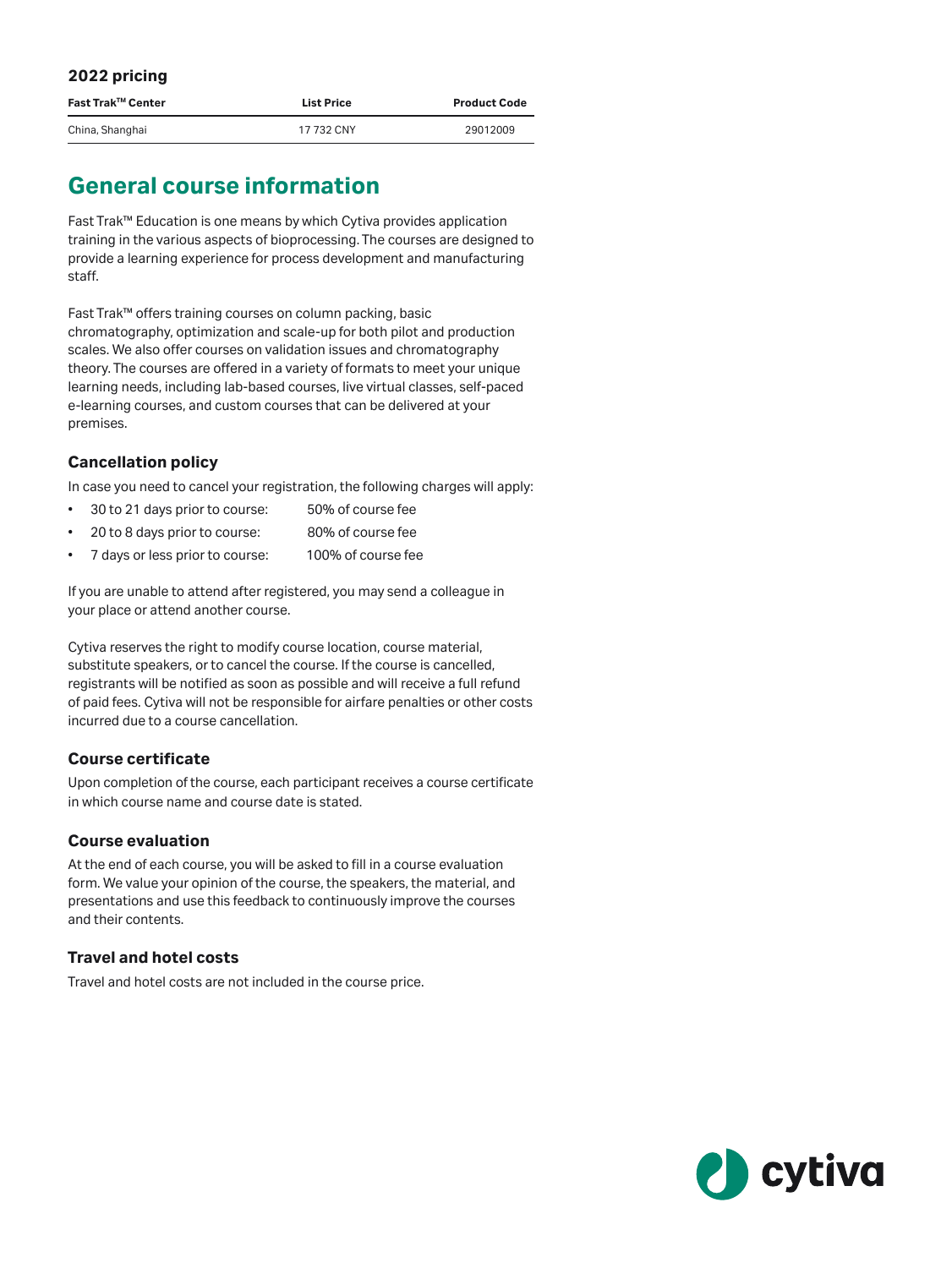| 2022 pricing      |                   |                     |
|-------------------|-------------------|---------------------|
| Fast Trak™ Center | <b>List Price</b> | <b>Product Code</b> |
| China, Shanghai   | 17 732 CNY        | 29012009            |

# **General course information**

Fast Trak™ Education is one means by which Cytiva provides application training in the various aspects of bioprocessing. The courses are designed to provide a learning experience for process development and manufacturing staff.

Fast Trak™ offers training courses on column packing, basic chromatography, optimization and scale-up for both pilot and production scales. We also offer courses on validation issues and chromatography theory. The courses are offered in a variety of formats to meet your unique learning needs, including lab-based courses, live virtual classes, self-paced e-learning courses, and custom courses that can be delivered at your premises.

# **Cancellation policy**

In case you need to cancel your registration, the following charges will apply:

- 30 to 21 days prior to course: 50% of course fee
- 20 to 8 days prior to course: 80% of course fee
- 7 days or less prior to course: 100% of course fee

If you are unable to attend after registered, you may send a colleague in your place or attend another course.

Cytiva reserves the right to modify course location, course material, substitute speakers, or to cancel the course. If the course is cancelled, registrants will be notified as soon as possible and will receive a full refund of paid fees. Cytiva will not be responsible for airfare penalties or other costs incurred due to a course cancellation.

# **Course certificate**

Upon completion of the course, each participant receives a course certificate in which course name and course date is stated.

#### **Course evaluation**

At the end of each course, you will be asked to fill in a course evaluation form. We value your opinion of the course, the speakers, the material, and presentations and use this feedback to continuously improve the courses and their contents.

#### **Travel and hotel costs**

Travel and hotel costs are not included in the course price.